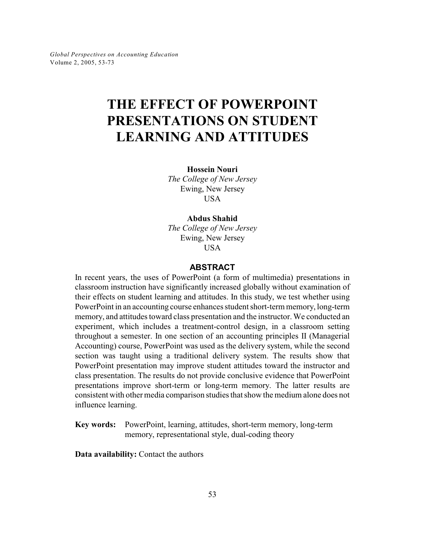*Global Perspectives on Accounting Education* Volume 2, 2005, 53-73

# **THE EFFECT OF POWERPOINT PRESENTATIONS ON STUDENT LEARNING AND ATTITUDES**

**Hossein Nouri**

*The College of New Jersey* Ewing, New Jersey USA

**Abdus Shahid**

*The College of New Jersey* Ewing, New Jersey USA

## **ABSTRACT**

In recent years, the uses of PowerPoint (a form of multimedia) presentations in classroom instruction have significantly increased globally without examination of their effects on student learning and attitudes. In this study, we test whether using PowerPoint in an accounting course enhances student short-term memory, long-term memory, and attitudes toward class presentation and the instructor. We conducted an experiment, which includes a treatment-control design, in a classroom setting throughout a semester. In one section of an accounting principles II (Managerial Accounting) course, PowerPoint was used as the delivery system, while the second section was taught using a traditional delivery system. The results show that PowerPoint presentation may improve student attitudes toward the instructor and class presentation. The results do not provide conclusive evidence that PowerPoint presentations improve short-term or long-term memory. The latter results are consistent with other media comparison studies that show the medium alone does not influence learning.

**Key words:** PowerPoint, learning, attitudes, short-term memory, long-term memory, representational style, dual-coding theory

**Data availability:** Contact the authors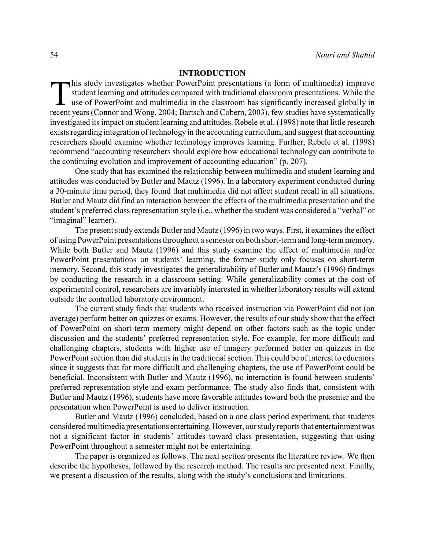## **INTRODUCTION**

his study investigates whether PowerPoint presentations (a form of multimedia) improve student learning and attitudes compared with traditional classroom presentations. While the use of PowerPoint and multimedia in the cla his study investigates whether PowerPoint presentations (a form of multimedia) improve student learning and attitudes compared with traditional classroom presentations. While the use of PowerPoint and multimedia in the classroom has significantly increased globally in investigated its impact on student learning and attitudes. Rebele et al. (1998) note that little research exists regarding integration of technology in the accounting curriculum, and suggest that accounting researchers should examine whether technology improves learning. Further, Rebele et al. (1998) recommend "accounting researchers should explore how educational technology can contribute to the continuing evolution and improvement of accounting education" (p. 207).

One study that has examined the relationship between multimedia and student learning and attitudes was conducted by Butler and Mautz (1996). In a laboratory experiment conducted during a 30-minute time period, they found that multimedia did not affect student recall in all situations. Butler and Mautz did find an interaction between the effects of the multimedia presentation and the student's preferred class representation style (i.e., whether the student was considered a "verbal" or "imaginal" learner).

The present study extends Butler and Mautz (1996) in two ways. First, it examines the effect of using PowerPoint presentationsthroughout a semester on both short-term and long-term memory. While both Butler and Mautz (1996) and this study examine the effect of multimedia and/or PowerPoint presentations on students' learning, the former study only focuses on short-term memory. Second, this study investigates the generalizability of Butler and Mautz's (1996) findings by conducting the research in a classroom setting. While generalizability comes at the cost of experimental control, researchers are invariably interested in whether laboratory results will extend outside the controlled laboratory environment.

The current study finds that students who received instruction via PowerPoint did not (on average) perform better on quizzes or exams. However, the results of our study show that the effect of PowerPoint on short-term memory might depend on other factors such as the topic under discussion and the students' preferred representation style. For example, for more difficult and challenging chapters, students with higher use of imagery performed better on quizzes in the PowerPoint section than did students in the traditional section. This could be of interest to educators since it suggests that for more difficult and challenging chapters, the use of PowerPoint could be beneficial. Inconsistent with Butler and Mautz (1996), no interaction is found between students' preferred representation style and exam performance. The study also finds that, consistent with Butler and Mautz (1996), students have more favorable attitudes toward both the presenter and the presentation when PowerPoint is used to deliver instruction.

Butler and Mautz (1996) concluded, based on a one class period experiment, that students considered multimedia presentations entertaining. However, our study reports that entertainment was not a significant factor in students' attitudes toward class presentation, suggesting that using PowerPoint throughout a semester might not be entertaining.

The paper is organized as follows. The next section presents the literature review. We then describe the hypotheses, followed by the research method. The results are presented next. Finally, we present a discussion of the results, along with the study's conclusions and limitations.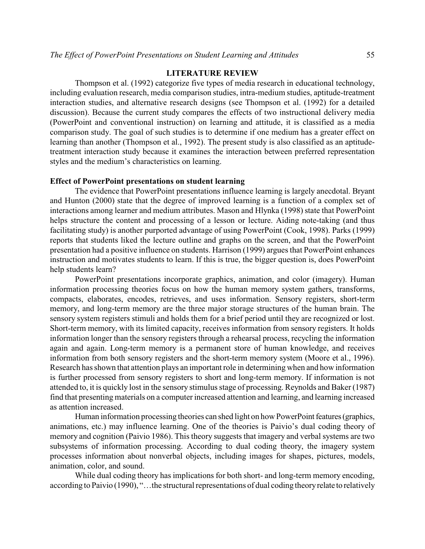## **LITERATURE REVIEW**

Thompson et al. (1992) categorize five types of media research in educational technology, including evaluation research, media comparison studies, intra-medium studies, aptitude-treatment interaction studies, and alternative research designs (see Thompson et al. (1992) for a detailed discussion). Because the current study compares the effects of two instructional delivery media (PowerPoint and conventional instruction) on learning and attitude, it is classified as a media comparison study. The goal of such studies is to determine if one medium has a greater effect on learning than another (Thompson et al., 1992). The present study is also classified as an aptitudetreatment interaction study because it examines the interaction between preferred representation styles and the medium's characteristics on learning.

## **Effect of PowerPoint presentations on student learning**

The evidence that PowerPoint presentations influence learning is largely anecdotal. Bryant and Hunton (2000) state that the degree of improved learning is a function of a complex set of interactions among learner and medium attributes. Mason and Hlynka (1998) state that PowerPoint helps structure the content and processing of a lesson or lecture. Aiding note-taking (and thus facilitating study) is another purported advantage of using PowerPoint (Cook, 1998). Parks (1999) reports that students liked the lecture outline and graphs on the screen, and that the PowerPoint presentation had a positive influence on students. Harrison (1999) argues that PowerPoint enhances instruction and motivates students to learn. If this is true, the bigger question is, does PowerPoint help students learn?

PowerPoint presentations incorporate graphics, animation, and color (imagery). Human information processing theories focus on how the human memory system gathers, transforms, compacts, elaborates, encodes, retrieves, and uses information. Sensory registers, short-term memory, and long-term memory are the three major storage structures of the human brain. The sensory system registers stimuli and holds them for a brief period until they are recognized or lost. Short-term memory, with its limited capacity, receives information from sensory registers. It holds information longer than the sensory registers through a rehearsal process, recycling the information again and again. Long-term memory is a permanent store of human knowledge, and receives information from both sensory registers and the short-term memory system (Moore et al., 1996). Research has shown that attention plays an important role in determining when and how information is further processed from sensory registers to short and long-term memory. If information is not attended to, it is quickly lost in the sensory stimulus stage of processing. Reynolds and Baker (1987) find that presenting materials on a computer increased attention and learning, and learning increased as attention increased.

Human information processing theories can shed light on how PowerPoint features (graphics, animations, etc.) may influence learning. One of the theories is Paivio's dual coding theory of memory and cognition (Paivio 1986). This theory suggests that imagery and verbal systems are two subsystems of information processing. According to dual coding theory, the imagery system processes information about nonverbal objects, including images for shapes, pictures, models, animation, color, and sound.

While dual coding theory has implications for both short- and long-term memory encoding, according to Paivio (1990), "…the structural representations of dual coding theory relate to relatively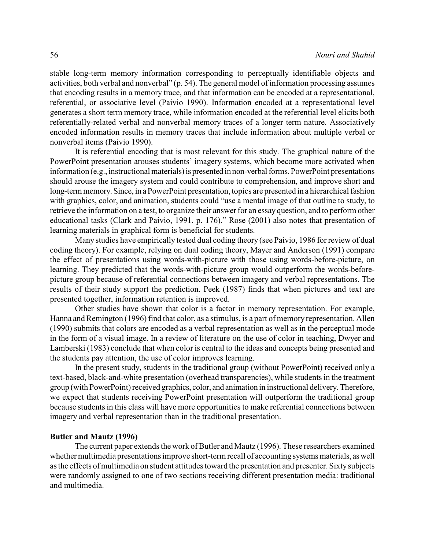stable long-term memory information corresponding to perceptually identifiable objects and activities, both verbal and nonverbal" (p. 54). The general model of information processing assumes that encoding results in a memory trace, and that information can be encoded at a representational, referential, or associative level (Paivio 1990). Information encoded at a representational level generates a short term memory trace, while information encoded at the referential level elicits both referentially-related verbal and nonverbal memory traces of a longer term nature. Associatively encoded information results in memory traces that include information about multiple verbal or nonverbal items (Paivio 1990).

It is referential encoding that is most relevant for this study. The graphical nature of the PowerPoint presentation arouses students' imagery systems, which become more activated when information (e.g., instructional materials) is presented in non-verbal forms. PowerPoint presentations should arouse the imagery system and could contribute to comprehension, and improve short and long-term memory. Since, in a PowerPoint presentation, topics are presented in a hierarchical fashion with graphics, color, and animation, students could "use a mental image of that outline to study, to retrieve the information on a test, to organize their answer for an essay question, and to perform other educational tasks (Clark and Paivio, 1991. p. 176)." Rose (2001) also notes that presentation of learning materials in graphical form is beneficial for students.

Many studies have empirically tested dual coding theory (see Paivio, 1986 for review of dual coding theory). For example, relying on dual coding theory, Mayer and Anderson (1991) compare the effect of presentations using words-with-picture with those using words-before-picture, on learning. They predicted that the words-with-picture group would outperform the words-beforepicture group because of referential connections between imagery and verbal representations. The results of their study support the prediction. Peek (1987) finds that when pictures and text are presented together, information retention is improved.

Other studies have shown that color is a factor in memory representation. For example, Hanna and Remington (1996) find that color, as a stimulus, is a part of memory representation. Allen (1990) submits that colors are encoded as a verbal representation as well as in the perceptual mode in the form of a visual image. In a review of literature on the use of color in teaching, Dwyer and Lamberski (1983) conclude that when color is central to the ideas and concepts being presented and the students pay attention, the use of color improves learning.

In the present study, students in the traditional group (without PowerPoint) received only a text-based, black-and-white presentation (overhead transparencies), while students in the treatment group (with PowerPoint) received graphics, color, and animation in instructional delivery. Therefore, we expect that students receiving PowerPoint presentation will outperform the traditional group because students in this class will have more opportunities to make referential connections between imagery and verbal representation than in the traditional presentation.

## **Butler and Mautz (1996)**

The current paper extends the work of Butler and Mautz (1996). These researchers examined whether multimedia presentations improve short-term recall of accounting systems materials, as well as the effects of multimedia on student attitudes toward the presentation and presenter. Sixty subjects were randomly assigned to one of two sections receiving different presentation media: traditional and multimedia.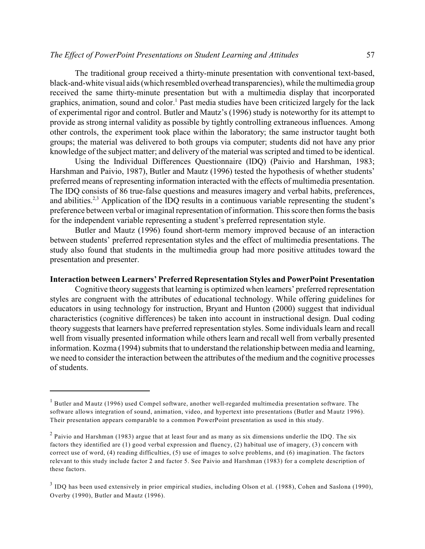## *The Effect of PowerPoint Presentations on Student Learning and Attitudes* 57

The traditional group received a thirty-minute presentation with conventional text-based, black-and-white visual aids (which resembled overhead transparencies), while the multimedia group received the same thirty-minute presentation but with a multimedia display that incorporated graphics, animation, sound and color.<sup>1</sup> Past media studies have been criticized largely for the lack of experimental rigor and control. Butler and Mautz's (1996) study is noteworthy for its attempt to provide as strong internal validity as possible by tightly controlling extraneous influences. Among other controls, the experiment took place within the laboratory; the same instructor taught both groups; the material was delivered to both groups via computer; students did not have any prior knowledge of the subject matter; and delivery of the material was scripted and timed to be identical.

Using the Individual Differences Questionnaire (IDQ) (Paivio and Harshman, 1983; Harshman and Paivio, 1987), Butler and Mautz (1996) tested the hypothesis of whether students' preferred means of representing information interacted with the effects of multimedia presentation. The IDQ consists of 86 true-false questions and measures imagery and verbal habits, preferences, and abilities.<sup> $2,3$ </sup> Application of the IDO results in a continuous variable representing the student's preference between verbal or imaginal representation of information. This score then forms the basis for the independent variable representing a student's preferred representation style.

Butler and Mautz (1996) found short-term memory improved because of an interaction between students' preferred representation styles and the effect of multimedia presentations. The study also found that students in the multimedia group had more positive attitudes toward the presentation and presenter.

## **Interaction between Learners' Preferred Representation Styles and PowerPoint Presentation**

Cognitive theory suggests that learning is optimized when learners' preferred representation styles are congruent with the attributes of educational technology. While offering guidelines for educators in using technology for instruction, Bryant and Hunton (2000) suggest that individual characteristics (cognitive differences) be taken into account in instructional design. Dual coding theory suggests that learners have preferred representation styles. Some individuals learn and recall well from visually presented information while others learn and recall well from verbally presented information. Kozma (1994) submits that to understand the relationship between media and learning, we need to consider the interaction between the attributes of the medium and the cognitive processes of students.

 $1$  Butler and Mautz (1996) used Compel software, another well-regarded multimedia presentation software. The software allows integration of sound, animation, video, and hypertext into presentations (Butler and Mautz 1996). Their presentation appears comparable to a common PowerPoint presentation as used in this study.

 $<sup>2</sup>$  Paivio and Harshman (1983) argue that at least four and as many as six dimensions underlie the IDQ. The six</sup> factors they identified are (1) good verbal expression and fluency, (2) habitual use of imagery, (3) concern with correct use of word, (4) reading difficulties, (5) use of images to solve problems, and (6) imagination. The factors relevant to this study include factor 2 and factor 5. See Paivio and Harshman (1983) for a complete description of these factors.

 $3$  IDQ has been used extensively in prior empirical studies, including Olson et al. (1988), Cohen and Saslona (1990), Overby (1990), Butler and Mautz (1996).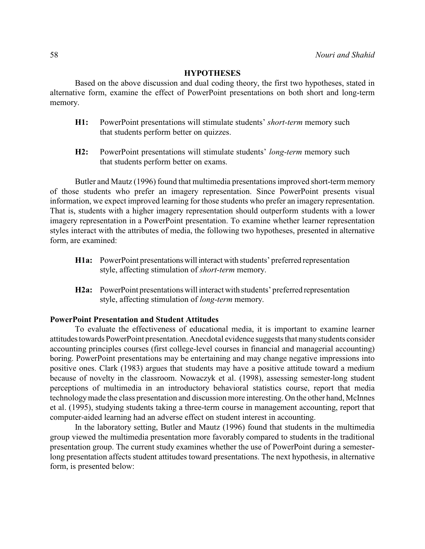## **HYPOTHESES**

Based on the above discussion and dual coding theory, the first two hypotheses, stated in alternative form, examine the effect of PowerPoint presentations on both short and long-term memory.

- **H1:** PowerPoint presentations will stimulate students' *short-term* memory such that students perform better on quizzes.
- **H2:** PowerPoint presentations will stimulate students' *long-term* memory such that students perform better on exams.

Butler and Mautz (1996) found that multimedia presentations improved short-term memory of those students who prefer an imagery representation. Since PowerPoint presents visual information, we expect improved learning for those students who prefer an imagery representation. That is, students with a higher imagery representation should outperform students with a lower imagery representation in a PowerPoint presentation. To examine whether learner representation styles interact with the attributes of media, the following two hypotheses, presented in alternative form, are examined:

- **H1a:** PowerPoint presentations will interact with students' preferred representation style, affecting stimulation of *short-term* memory.
- **H2a:** PowerPoint presentations will interact with students' preferred representation style, affecting stimulation of *long-term* memory.

## **PowerPoint Presentation and Student Attitudes**

To evaluate the effectiveness of educational media, it is important to examine learner attitudes towards PowerPoint presentation. Anecdotal evidence suggests that many students consider accounting principles courses (first college-level courses in financial and managerial accounting) boring. PowerPoint presentations may be entertaining and may change negative impressions into positive ones. Clark (1983) argues that students may have a positive attitude toward a medium because of novelty in the classroom. Nowaczyk et al. (1998), assessing semester-long student perceptions of multimedia in an introductory behavioral statistics course, report that media technology made the class presentation and discussion more interesting. On the other hand, McInnes et al. (1995), studying students taking a three-term course in management accounting, report that computer-aided learning had an adverse effect on student interest in accounting.

In the laboratory setting, Butler and Mautz (1996) found that students in the multimedia group viewed the multimedia presentation more favorably compared to students in the traditional presentation group. The current study examines whether the use of PowerPoint during a semesterlong presentation affects student attitudes toward presentations. The next hypothesis, in alternative form, is presented below: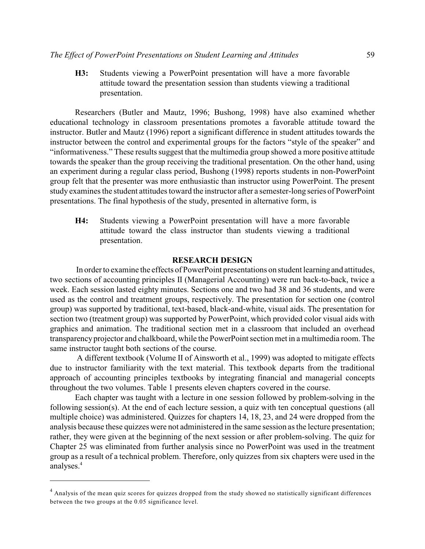**H3:** Students viewing a PowerPoint presentation will have a more favorable attitude toward the presentation session than students viewing a traditional presentation.

Researchers (Butler and Mautz, 1996; Bushong, 1998) have also examined whether educational technology in classroom presentations promotes a favorable attitude toward the instructor. Butler and Mautz (1996) report a significant difference in student attitudes towards the instructor between the control and experimental groups for the factors "style of the speaker" and "informativeness." These results suggest that the multimedia group showed a more positive attitude towards the speaker than the group receiving the traditional presentation. On the other hand, using an experiment during a regular class period, Bushong (1998) reports students in non-PowerPoint group felt that the presenter was more enthusiastic than instructor using PowerPoint. The present study examines the student attitudes toward the instructor after a semester-long series of PowerPoint presentations. The final hypothesis of the study, presented in alternative form, is

**H4:** Students viewing a PowerPoint presentation will have a more favorable attitude toward the class instructor than students viewing a traditional presentation.

#### **RESEARCH DESIGN**

 In order to examine the effects of PowerPoint presentations on student learning and attitudes, two sections of accounting principles II (Managerial Accounting) were run back-to-back, twice a week. Each session lasted eighty minutes. Sections one and two had 38 and 36 students, and were used as the control and treatment groups, respectively. The presentation for section one (control group) was supported by traditional, text-based, black-and-white, visual aids. The presentation for section two (treatment group) was supported by PowerPoint, which provided color visual aids with graphics and animation. The traditional section met in a classroom that included an overhead transparency projector and chalkboard, while the PowerPoint section met in a multimedia room. The same instructor taught both sections of the course.

 A different textbook (Volume II of Ainsworth et al., 1999) was adopted to mitigate effects due to instructor familiarity with the text material. This textbook departs from the traditional approach of accounting principles textbooks by integrating financial and managerial concepts throughout the two volumes. Table 1 presents eleven chapters covered in the course.

Each chapter was taught with a lecture in one session followed by problem-solving in the following session(s). At the end of each lecture session, a quiz with ten conceptual questions (all multiple choice) was administered. Quizzes for chapters 14, 18, 23, and 24 were dropped from the analysis because these quizzes were not administered in the same session as the lecture presentation; rather, they were given at the beginning of the next session or after problem-solving. The quiz for Chapter 25 was eliminated from further analysis since no PowerPoint was used in the treatment group as a result of a technical problem. Therefore, only quizzes from six chapters were used in the analyses.4

 $4$  Analysis of the mean quiz scores for quizzes dropped from the study showed no statistically significant differences between the two groups at the 0.05 significance level.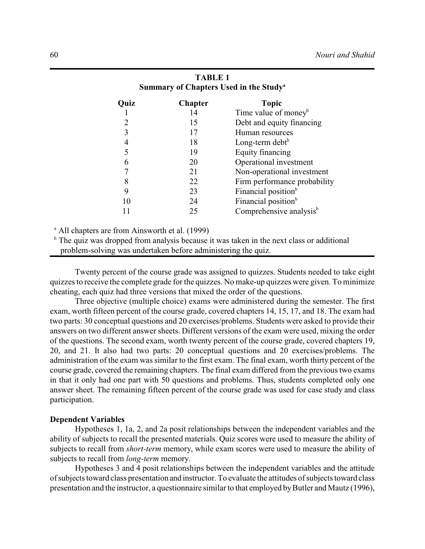| Summary of Chapters Used in the Study <sup>a</sup> |                                     |  |  |  |  |
|----------------------------------------------------|-------------------------------------|--|--|--|--|
| <b>Chapter</b>                                     | <b>Topic</b>                        |  |  |  |  |
| 14                                                 | Time value of money <sup>b</sup>    |  |  |  |  |
| 15                                                 | Debt and equity financing           |  |  |  |  |
| 17                                                 | Human resources                     |  |  |  |  |
| 18                                                 | Long-term debt $b$                  |  |  |  |  |
| 19                                                 | Equity financing                    |  |  |  |  |
| 20                                                 | Operational investment              |  |  |  |  |
| 21                                                 | Non-operational investment          |  |  |  |  |
| 22                                                 | Firm performance probability        |  |  |  |  |
| 23                                                 | Financial position <sup>b</sup>     |  |  |  |  |
| 24                                                 | Financial position <sup>b</sup>     |  |  |  |  |
| 25                                                 | Comprehensive analysis <sup>b</sup> |  |  |  |  |
|                                                    |                                     |  |  |  |  |

## **TABLE 1 Summary of Chapters Used in the Study<sup>a</sup>**

 $^{\circ}$  All chapters are from Ainsworth et al. (1999)

 $\mu$ <sup>b</sup> The quiz was dropped from analysis because it was taken in the next class or additional problem-solving was undertaken before administering the quiz.

Twenty percent of the course grade was assigned to quizzes. Students needed to take eight quizzesto receive the complete grade for the quizzes. No make-up quizzes were given. To minimize cheating, each quiz had three versions that mixed the order of the questions.

Three objective (multiple choice) exams were administered during the semester. The first exam, worth fifteen percent of the course grade, covered chapters 14, 15, 17, and 18. The exam had two parts: 30 conceptual questions and 20 exercises/problems. Students were asked to provide their answers on two different answer sheets. Different versions of the exam were used, mixing the order of the questions. The second exam, worth twenty percent of the course grade, covered chapters 19, 20, and 21. It also had two parts: 20 conceptual questions and 20 exercises/problems. The administration of the exam was similar to the first exam. The final exam, worth thirty percent of the course grade, covered the remaining chapters. The final exam differed from the previous two exams in that it only had one part with 50 questions and problems. Thus, students completed only one answer sheet. The remaining fifteen percent of the course grade was used for case study and class participation.

## **Dependent Variables**

Hypotheses 1, 1a, 2, and 2a posit relationships between the independent variables and the ability of subjects to recall the presented materials. Quiz scores were used to measure the ability of subjects to recall from *short-term* memory, while exam scores were used to measure the ability of subjects to recall from *long-term* memory.

Hypotheses 3 and 4 posit relationships between the independent variables and the attitude of subjects toward class presentation and instructor. To evaluate the attitudes of subjects toward class presentation and the instructor, a questionnaire similar to that employed by Butler and Mautz (1996),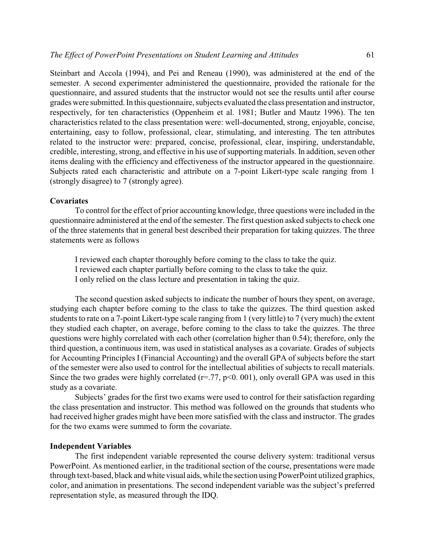Steinbart and Accola (1994), and Pei and Reneau (1990), was administered at the end of the semester. A second experimenter administered the questionnaire, provided the rationale for the questionnaire, and assured students that the instructor would not see the results until after course grades were submitted. In this questionnaire, subjects evaluated the class presentation and instructor, respectively, for ten characteristics (Oppenheim et al. 1981; Butler and Mautz 1996). The ten characteristics related to the class presentation were: well-documented, strong, enjoyable, concise, entertaining, easy to follow, professional, clear, stimulating, and interesting. The ten attributes related to the instructor were: prepared, concise, professional, clear, inspiring, understandable, credible, interesting, strong, and effective in his use of supporting materials. In addition, seven other items dealing with the efficiency and effectiveness of the instructor appeared in the questionnaire. Subjects rated each characteristic and attribute on a 7-point Likert-type scale ranging from 1 (strongly disagree) to 7 (strongly agree).

## **Covariates**

To control for the effect of prior accounting knowledge, three questions were included in the questionnaire administered at the end of the semester. The first question asked subjects to check one of the three statements that in general best described their preparation for taking quizzes. The three statements were as follows

I reviewed each chapter thoroughly before coming to the class to take the quiz. I reviewed each chapter partially before coming to the class to take the quiz. I only relied on the class lecture and presentation in taking the quiz.

The second question asked subjects to indicate the number of hours they spent, on average, studying each chapter before coming to the class to take the quizzes. The third question asked students to rate on a 7-point Likert-type scale ranging from 1 (very little) to 7 (very much) the extent they studied each chapter, on average, before coming to the class to take the quizzes. The three questions were highly correlated with each other (correlation higher than 0.54); therefore, only the third question, a continuous item, was used in statistical analyses as a covariate. Grades of subjects for Accounting Principles I (Financial Accounting) and the overall GPA of subjects before the start of the semester were also used to control for the intellectual abilities of subjects to recall materials. Since the two grades were highly correlated ( $r = .77$ ,  $p < 0.001$ ), only overall GPA was used in this study as a covariate.

Subjects' grades for the first two exams were used to control for their satisfaction regarding the class presentation and instructor. This method was followed on the grounds that students who had received higher grades might have been more satisfied with the class and instructor. The grades for the two exams were summed to form the covariate.

## **Independent Variables**

The first independent variable represented the course delivery system: traditional versus PowerPoint. As mentioned earlier, in the traditional section of the course, presentations were made through text-based, black and white visual aids, while the section using PowerPoint utilized graphics, color, and animation in presentations. The second independent variable was the subject's preferred representation style, as measured through the IDQ.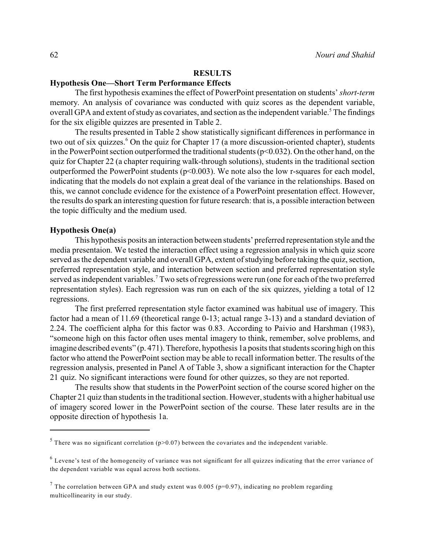## **RESULTS**

## **Hypothesis One—Short Term Performance Effects**

The first hypothesis examines the effect of PowerPoint presentation on students' *short-term* memory. An analysis of covariance was conducted with quiz scores as the dependent variable, overall GPA and extent of study as covariates, and section as the independent variable.<sup>5</sup> The findings for the six eligible quizzes are presented in Table 2.

The results presented in Table 2 show statistically significant differences in performance in two out of six quizzes.<sup>6</sup> On the quiz for Chapter 17 (a more discussion-oriented chapter), students in the PowerPoint section outperformed the traditional students ( $p<0.032$ ). On the other hand, on the quiz for Chapter 22 (a chapter requiring walk-through solutions), students in the traditional section outperformed the PowerPoint students ( $p<0.003$ ). We note also the low r-squares for each model, indicating that the models do not explain a great deal of the variance in the relationships. Based on this, we cannot conclude evidence for the existence of a PowerPoint presentation effect. However, the results do spark an interesting question for future research: that is, a possible interaction between the topic difficulty and the medium used.

#### **Hypothesis One(a)**

This hypothesis posits an interaction between students' preferred representation style and the media presentaion. We tested the interaction effect using a regression analysis in which quiz score served as the dependent variable and overall GPA, extent of studying before taking the quiz, section, preferred representation style, and interaction between section and preferred representation style served as independent variables.<sup>7</sup> Two sets of regressions were run (one for each of the two preferred representation styles). Each regression was run on each of the six quizzes, yielding a total of 12 regressions.

The first preferred representation style factor examined was habitual use of imagery. This factor had a mean of 11.69 (theoretical range 0-13; actual range 3-13) and a standard deviation of 2.24. The coefficient alpha for this factor was 0.83. According to Paivio and Harshman (1983), "someone high on this factor often uses mental imagery to think, remember, solve problems, and imagine described events" (p. 471). Therefore, hypothesis 1a posits that students scoring high on this factor who attend the PowerPoint section may be able to recall information better. The results of the regression analysis, presented in Panel A of Table 3, show a significant interaction for the Chapter 21 quiz. No significant interactions were found for other quizzes, so they are not reported.

The results show that students in the PowerPoint section of the course scored higher on the Chapter 21 quiz than students in the traditional section. However, students with a higher habitual use of imagery scored lower in the PowerPoint section of the course. These later results are in the opposite direction of hypothesis 1a.

 $<sup>5</sup>$  There was no significant correlation (p>0.07) between the covariates and the independent variable.</sup>

 $6$  Levene's test of the homogeneity of variance was not significant for all quizzes indicating that the error variance of the dependent variable was equal across both sections.

<sup>&</sup>lt;sup>7</sup> The correlation between GPA and study extent was 0.005 (p=0.97), indicating no problem regarding multicollinearity in our study.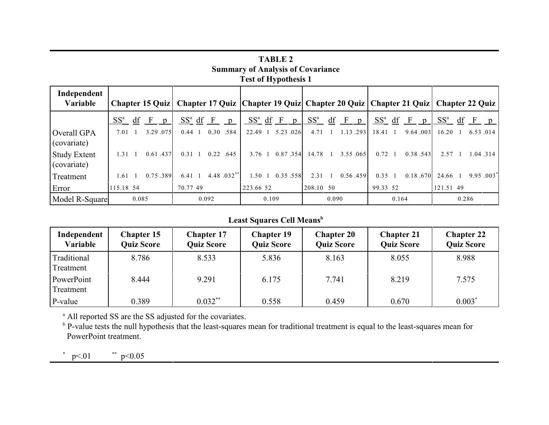| <b>Test of Hypothesis 1</b>        |                                              |                                                                                                           |                            |                                              |                                           |                             |  |
|------------------------------------|----------------------------------------------|-----------------------------------------------------------------------------------------------------------|----------------------------|----------------------------------------------|-------------------------------------------|-----------------------------|--|
| Independent<br>Variable            |                                              | Chapter 15 Quiz   Chapter 17 Quiz   Chapter 19 Quiz   Chapter 20 Quiz   Chapter 21 Quiz   Chapter 22 Quiz |                            |                                              |                                           |                             |  |
|                                    | $SS^a$<br>df<br>$\mathbf{F}$<br>$\mathbf{p}$ | $SS^a$ df F<br>$\mathbf{p}$                                                                               | $SS^a$ df F<br>p           | $SS^a$<br>df<br>$\mathbf{F}$<br>$\mathbf{D}$ | $SS^a$ df<br>$\mathbf{F}$<br>$\mathbf{p}$ | $SS^a$<br>$F \cdot p$<br>df |  |
| Overall GPA<br>(covariate)         | 3.29.075<br>7.01 1                           | 0.30 .584<br>$0.44 \quad 1$                                                                               | 5.23.026<br>22.49 1        | 1.13.293<br>$4.71 \quad 1$                   | 9.64.003<br>18.41<br>$\blacksquare$       | 16.20<br>6.53.014           |  |
| <b>Study Extent</b><br>(covariate) | 0.61.437<br>$1.31 \quad 1$                   | 0.22 .645<br>$0.31 \quad 1$                                                                               | 0.87.354<br>3.76 1         | 3.55.065<br>14.78 1                          | $0.72 \quad 1$<br>0.38.543                | 1.04.314<br>$2.57 \quad 1$  |  |
| Treatment                          | 0.75.389<br>1.61                             | 4.48 .032**<br>$6.41\quad1$                                                                               | 0.35.558<br>$1.50 \quad 1$ | 0.56.459<br>2.31                             | 0.35<br>0.18.670<br>$\overline{1}$        | $9.95.003^*$<br>24.66       |  |
| Error                              | 115.18 54                                    | 70.77 49                                                                                                  | 223.66 52                  | 208.10 50                                    | 99.33 52                                  | 121.51 49                   |  |
| Model R-Square                     | 0.085                                        | 0.092                                                                                                     | 0.109                      | 0.090                                        | 0.164                                     | 0.286                       |  |

**TABLE 2 Summary of Analysis of Covariance**

## **Least Squares Cell Means<sup>b</sup>**

| Independent<br>Variable  | <b>Chapter 15</b><br><b>Quiz Score</b> | <b>Chapter 17</b><br><b>Quiz Score</b> | <b>Chapter 19</b><br><b>Quiz Score</b> | <b>Chapter 20</b><br><b>Quiz Score</b> | <b>Chapter 21</b><br><b>Quiz Score</b> | <b>Chapter 22</b><br><b>Quiz Score</b> |
|--------------------------|----------------------------------------|----------------------------------------|----------------------------------------|----------------------------------------|----------------------------------------|----------------------------------------|
| Traditional<br>Treatment | 8.786                                  | 8.533                                  | 5.836                                  | 8.163                                  | 8.055                                  | 8.988                                  |
| PowerPoint<br>Treatment  | 8.444                                  | 9.291                                  | 6.175                                  | 7.741                                  | 8.219                                  | 7.575                                  |
| P-value                  | 0.389                                  | $0.032**$                              | 0.558                                  | 0.459                                  | 0.670                                  | $0.003*$                               |

<sup>a</sup> All reported SS are the SS adjusted for the covariates.

<sup>b</sup> P-value tests the null hypothesis that the least-squares mean for traditional treatment is equal to the least-squares mean for PowerPoint treatment.

 $p<.01$  \*\*  $p<0.05$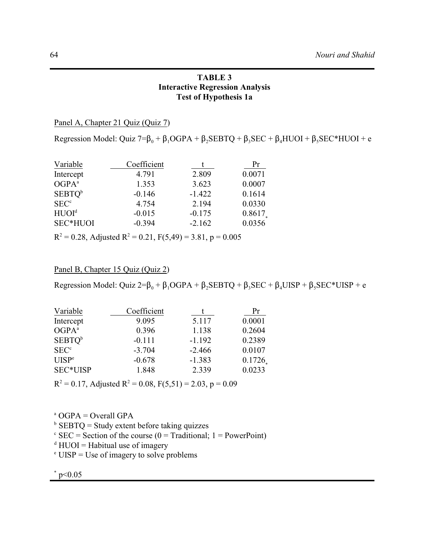## **TABLE 3 Interactive Regression Analysis Test of Hypothesis 1a**

Panel A, Chapter 21 Quiz (Quiz 7)

Regression Model: Quiz 7= $\beta_0 + \beta_1 O GPA + \beta_2 SEBTQ + \beta_3 SEC + \beta_4 HUOI + \beta_5 SEC*HUOI + e$ 

| Variable           | Coefficient |          | Pr     |
|--------------------|-------------|----------|--------|
| Intercept          | 4.791       | 2.809    | 0.0071 |
| OGPA <sup>a</sup>  | 1.353       | 3.623    | 0.0007 |
| SEBTQ <sup>b</sup> | $-0.146$    | $-1.422$ | 0.1614 |
| SEC <sup>c</sup>   | 4.754       | 2.194    | 0.0330 |
| HUOI <sup>d</sup>  | $-0.015$    | $-0.175$ | 0.8617 |
| SEC*HUOI           | $-0.394$    | $-2.162$ | 0.0356 |

 $R<sup>2</sup> = 0.28$ , Adjusted  $R<sup>2</sup> = 0.21$ , F(5,49) = 3.81, p = 0.005

## Panel B, Chapter 15 Quiz (Quiz 2)

Regression Model: Quiz 2= $\beta_0 + \beta_1$ OGPA +  $\beta_2$ SEBTQ +  $\beta_3$ SEC +  $\beta_4$ UISP +  $\beta_5$ SEC\*UISP + e

| Variable           | Coefficient |          | Pr     |
|--------------------|-------------|----------|--------|
| Intercept          | 9.095       | 5.117    | 0.0001 |
| OGPA <sup>a</sup>  | 0.396       | 1.138    | 0.2604 |
| SEBTQ <sup>b</sup> | $-0.111$    | $-1.192$ | 0.2389 |
| SEC <sup>c</sup>   | $-3.704$    | $-2.466$ | 0.0107 |
| UISP <sup>e</sup>  | $-0.678$    | $-1.383$ | 0.1726 |
| SEC*UISP           | 1.848       | 2.339    | 0.0233 |

 $R<sup>2</sup> = 0.17$ , Adjusted  $R<sup>2</sup> = 0.08$ ,  $F(5,51) = 2.03$ ,  $p = 0.09$ 

 $^{\circ}$  OGPA = Overall GPA

 $b$  SEBTQ = Study extent before taking quizzes

 $\epsilon$  SEC = Section of the course (0 = Traditional; 1 = PowerPoint)

 $d$  HUOI = Habitual use of imagery

 $\degree$  UISP = Use of imagery to solve problems

 $*$  p<0.05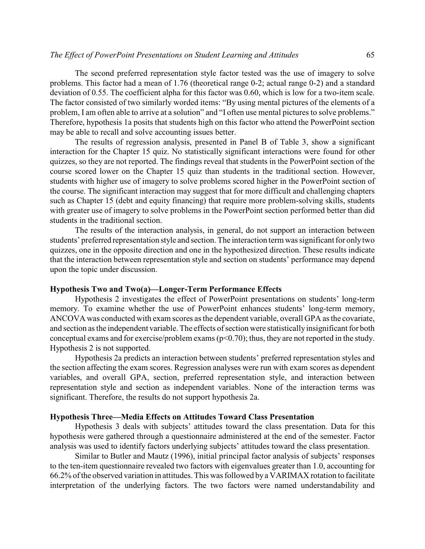The second preferred representation style factor tested was the use of imagery to solve problems. This factor had a mean of 1.76 (theoretical range 0-2; actual range 0-2) and a standard deviation of 0.55. The coefficient alpha for this factor was 0.60, which is low for a two-item scale. The factor consisted of two similarly worded items: "By using mental pictures of the elements of a problem, I am often able to arrive at a solution" and "I often use mental pictures to solve problems." Therefore, hypothesis 1a posits that students high on this factor who attend the PowerPoint section may be able to recall and solve accounting issues better.

The results of regression analysis, presented in Panel B of Table 3, show a significant interaction for the Chapter 15 quiz. No statistically significant interactions were found for other quizzes, so they are not reported. The findings reveal that students in the PowerPoint section of the course scored lower on the Chapter 15 quiz than students in the traditional section. However, students with higher use of imagery to solve problems scored higher in the PowerPoint section of the course. The significant interaction may suggest that for more difficult and challenging chapters such as Chapter 15 (debt and equity financing) that require more problem-solving skills, students with greater use of imagery to solve problems in the PowerPoint section performed better than did students in the traditional section.

The results of the interaction analysis, in general, do not support an interaction between students' preferred representation style and section. The interaction term was significant for only two quizzes, one in the opposite direction and one in the hypothesized direction. These results indicate that the interaction between representation style and section on students' performance may depend upon the topic under discussion.

#### **Hypothesis Two and Two(a)—Longer-Term Performance Effects**

Hypothesis 2 investigates the effect of PowerPoint presentations on students' long-term memory. To examine whether the use of PowerPoint enhances students' long-term memory, ANCOVA was conducted with exam scores as the dependent variable, overall GPA as the covariate, and section as the independent variable. The effects of section were statistically insignificant for both conceptual exams and for exercise/problem exams  $(p<0.70)$ ; thus, they are not reported in the study. Hypothesis 2 is not supported.

Hypothesis 2a predicts an interaction between students' preferred representation styles and the section affecting the exam scores. Regression analyses were run with exam scores as dependent variables, and overall GPA, section, preferred representation style, and interaction between representation style and section as independent variables. None of the interaction terms was significant. Therefore, the results do not support hypothesis 2a.

#### **Hypothesis Three—Media Effects on Attitudes Toward Class Presentation**

Hypothesis 3 deals with subjects' attitudes toward the class presentation. Data for this hypothesis were gathered through a questionnaire administered at the end of the semester. Factor analysis was used to identify factors underlying subjects' attitudes toward the class presentation.

Similar to Butler and Mautz (1996), initial principal factor analysis of subjects' responses to the ten-item questionnaire revealed two factors with eigenvalues greater than 1.0, accounting for 66.2% of the observed variation in attitudes.This was followed by a VARIMAX rotation to facilitate interpretation of the underlying factors. The two factors were named understandability and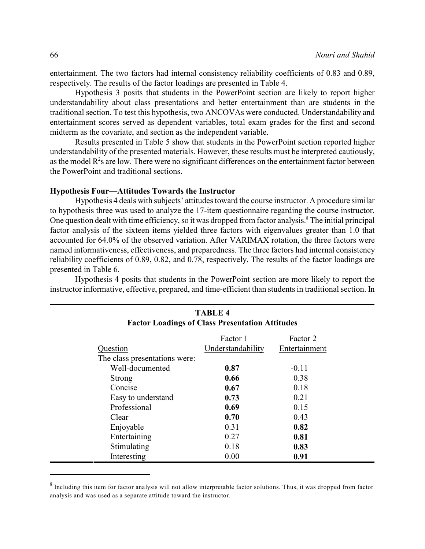entertainment. The two factors had internal consistency reliability coefficients of 0.83 and 0.89, respectively. The results of the factor loadings are presented in Table 4.

Hypothesis 3 posits that students in the PowerPoint section are likely to report higher understandability about class presentations and better entertainment than are students in the traditional section. To test this hypothesis, two ANCOVAs were conducted. Understandability and entertainment scores served as dependent variables, total exam grades for the first and second midterm as the covariate, and section as the independent variable.

Results presented in Table 5 show that students in the PowerPoint section reported higher understandability of the presented materials. However, these results must be interpreted cautiously, as the model  $R<sup>2</sup>s$  are low. There were no significant differences on the entertainment factor between the PowerPoint and traditional sections.

## **Hypothesis Four—Attitudes Towards the Instructor**

Hypothesis 4 deals with subjects' attitudes toward the course instructor. A procedure similar to hypothesis three was used to analyze the 17-item questionnaire regarding the course instructor. One question dealt with time efficiency, so it was dropped from factor analysis.<sup>8</sup> The initial principal factor analysis of the sixteen items yielded three factors with eigenvalues greater than 1.0 that accounted for 64.0% of the observed variation. After VARIMAX rotation, the three factors were named informativeness, effectiveness, and preparedness. The three factors had internal consistency reliability coefficients of 0.89, 0.82, and 0.78, respectively. The results of the factor loadings are presented in Table 6.

Hypothesis 4 posits that students in the PowerPoint section are more likely to report the instructor informative, effective, prepared, and time-efficient than students in traditional section. In

| <b>TABLE 4</b><br><b>Factor Loadings of Class Presentation Attitudes</b> |                   |               |  |  |
|--------------------------------------------------------------------------|-------------------|---------------|--|--|
|                                                                          | Factor 1          | Factor 2      |  |  |
| Question                                                                 | Understandability | Entertainment |  |  |
| The class presentations were:                                            |                   |               |  |  |
| Well-documented                                                          | 0.87              | $-0.11$       |  |  |
| Strong                                                                   | 0.66              | 0.38          |  |  |
| Concise                                                                  | 0.67              | 0.18          |  |  |
| Easy to understand                                                       | 0.73              | 0.21          |  |  |
| Professional                                                             | 0.69              | 0.15          |  |  |
| Clear                                                                    | 0.70              | 0.43          |  |  |
| Enjoyable                                                                | 0.31              | 0.82          |  |  |
| Entertaining                                                             | 0.27              | 0.81          |  |  |
| Stimulating                                                              | 0.18              | 0.83          |  |  |
| Interesting                                                              | 0.00              | 0.91          |  |  |

 $^8$  Including this item for factor analysis will not allow interpretable factor solutions. Thus, it was dropped from factor analysis and was used as a separate attitude toward the instructor.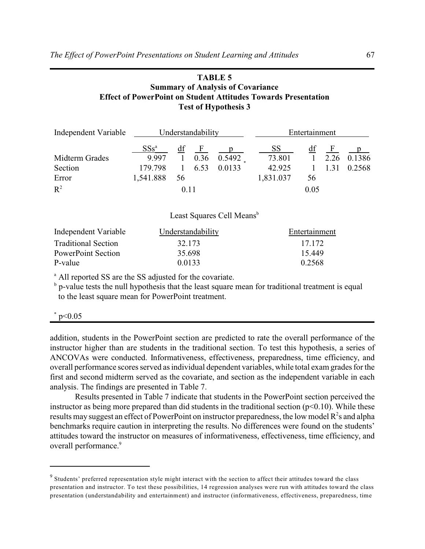## **TABLE 5 Summary of Analysis of Covariance Effect of PowerPoint on Student Attitudes Towards Presentation Test of Hypothesis 3**

| Independent Variable |           | Understandability |              |        | Entertainment |      |                |        |
|----------------------|-----------|-------------------|--------------|--------|---------------|------|----------------|--------|
|                      | $SSs^a$   | df                | $\mathbf{F}$ |        | SS.           | df   | $\mathbf{F}$   |        |
| Midterm Grades       | 9.997     |                   | 0.36         | 0.5492 | 73.801        |      | $1 \quad 2.26$ | 0.1386 |
| Section              | 179.798   |                   | 6.53         | 0.0133 | 42.925        |      |                | 0.2568 |
| Error                | 1,541.888 | 56                |              |        | 1,831.037     | 56   |                |        |
| $R^2$                |           | 0.11              |              |        |               | 0.05 |                |        |

Least Squares Cell Means<sup>b</sup>

| Independent Variable       | Understandability | Entertainment |
|----------------------------|-------------------|---------------|
| <b>Traditional Section</b> | 32.173            | 17.172        |
| PowerPoint Section         | 35.698            | 15.449        |
| P-value                    | 0.0133            | 0.2568        |

<sup>a</sup> All reported SS are the SS adjusted for the covariate.

 $<sup>b</sup>$  p-value tests the null hypothesis that the least square mean for traditional treatment is equal</sup> to the least square mean for PowerPoint treatment.

#### $*$  p<0.05

addition, students in the PowerPoint section are predicted to rate the overall performance of the instructor higher than are students in the traditional section. To test this hypothesis, a series of ANCOVAs were conducted. Informativeness, effectiveness, preparedness, time efficiency, and overall performance scores served as individual dependent variables, while total exam grades for the first and second midterm served as the covariate, and section as the independent variable in each analysis. The findings are presented in Table 7.

Results presented in Table 7 indicate that students in the PowerPoint section perceived the instructor as being more prepared than did students in the traditional section  $(p<0.10)$ . While these results may suggest an effect of PowerPoint on instructor preparedness, the low model  $R^2$ s and alpha benchmarks require caution in interpreting the results. No differences were found on the students' attitudes toward the instructor on measures of informativeness, effectiveness, time efficiency, and overall performance. 9

 $9$  Students' preferred representation style might interact with the section to affect their attitudes toward the class presentation and instructor. To test these possibilities, 14 regression analyses were run with attitudes toward the class presentation (understandability and entertainment) and instructor (informativeness, effectiveness, preparedness, time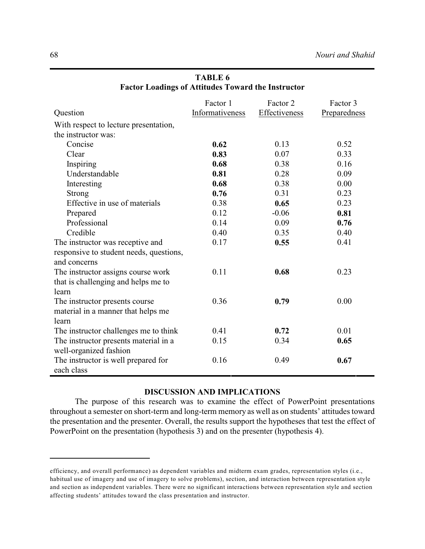|                                         | Factor 1        | Factor 2      | Factor 3     |
|-----------------------------------------|-----------------|---------------|--------------|
| Question                                | Informativeness | Effectiveness | Preparedness |
| With respect to lecture presentation,   |                 |               |              |
| the instructor was:                     |                 |               |              |
| Concise                                 | 0.62            | 0.13          | 0.52         |
| Clear                                   | 0.83            | 0.07          | 0.33         |
| Inspiring                               | 0.68            | 0.38          | 0.16         |
| Understandable                          | 0.81            | 0.28          | 0.09         |
| Interesting                             | 0.68            | 0.38          | 0.00         |
| <b>Strong</b>                           | 0.76            | 0.31          | 0.23         |
| Effective in use of materials           | 0.38            | 0.65          | 0.23         |
| Prepared                                | 0.12            | $-0.06$       | 0.81         |
| Professional                            | 0.14            | 0.09          | 0.76         |
| Credible                                | 0.40            | 0.35          | 0.40         |
| The instructor was receptive and        | 0.17            | 0.55          | 0.41         |
| responsive to student needs, questions, |                 |               |              |
| and concerns                            |                 |               |              |
| The instructor assigns course work      | 0.11            | 0.68          | 0.23         |
| that is challenging and helps me to     |                 |               |              |
| learn                                   |                 |               |              |
| The instructor presents course          | 0.36            | 0.79          | 0.00         |
| material in a manner that helps me      |                 |               |              |
| learn                                   |                 |               |              |
| The instructor challenges me to think   | 0.41            | 0.72          | 0.01         |
| The instructor presents material in a   | 0.15            | 0.34          | 0.65         |
| well-organized fashion                  |                 |               |              |
| The instructor is well prepared for     | 0.16            | 0.49          | 0.67         |
| each class                              |                 |               |              |

## **TABLE 6 Factor Loadings of Attitudes Toward the Instructor**

## **DISCUSSION AND IMPLICATIONS**

The purpose of this research was to examine the effect of PowerPoint presentations throughout a semester on short-term and long-term memory as well as on students' attitudes toward the presentation and the presenter. Overall, the results support the hypotheses that test the effect of PowerPoint on the presentation (hypothesis 3) and on the presenter (hypothesis 4).

efficiency, and overall performance) as dependent variables and midterm exam grades, representation styles (i.e., habitual use of imagery and use of imagery to solve problems), section, and interaction between representation style and section as independent variables. There were no significant interactions between representation style and section affecting students' attitudes toward the class presentation and instructor.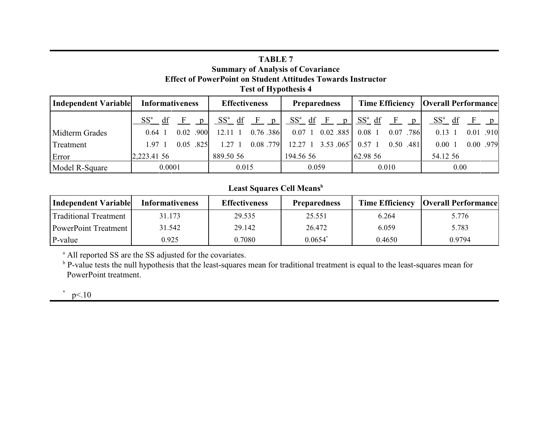## **TABLE 7 Summary of Analysis of Covariance Effect of PowerPoint on Student Attitudes Towards Instructor Test of Hypothesis 4**

| Independent Variable | <b>Informativeness</b>             | <b>Effectiveness</b>              | <b>Preparedness</b>              |                          | <b>Time Efficiency   Overall Performance </b> |
|----------------------|------------------------------------|-----------------------------------|----------------------------------|--------------------------|-----------------------------------------------|
|                      | $SS^a$<br>df<br>- F<br>$\mathbf n$ | $SS^a$<br>df<br>F<br>$\mathbf{n}$ | $SS^a$ df F<br>$\mathsf{n}$      | $SS^a$ df<br>$\mathbf n$ | $SS^a$<br>df<br>n                             |
| Midterm Grades       | .900<br>0.02<br>$0.64$ 1           | $0.76$ .386<br>12.11 1            | $0.02$ .885<br>$0.07 \; 1$       | 0.07 .786<br>$0.08$ 1    | .910<br>0.13<br>0.01.                         |
| Treatment            | 0.05<br>.825<br>$1.97 \text{ } 1$  | 0.08.779<br>$1.27 \text{ } 1$     | $1, 3.53, 065^*$<br>$12.27 \; 1$ | 0.50 .481<br>$0.57 \; 1$ | 0.00 .979<br>$0.00 \text{ } 1$                |
| Error                | 2,223.41 56                        | 889.50 56                         | 194.56.56                        | 62.98 56                 | 54.12.56                                      |
| Model R-Square       | 0.0001                             | 0.015                             | 0.059                            | 0.010                    | 0.00                                          |

## **Least Squares Cell Means<sup>b</sup>**

| Independent Variable        | <b>Informativeness</b> | <b>Effectiveness</b> | <b>Preparedness</b>   |        | <b>Time Efficiency   Overall Performance</b> |
|-----------------------------|------------------------|----------------------|-----------------------|--------|----------------------------------------------|
| Traditional Treatment       | 31.173                 | 29.535               | 25.551                | 6.264  | 5.776                                        |
| <b>PowerPoint Treatment</b> | 31.542                 | 29.142               | 26.472                | 6.059  | 5.783                                        |
| P-value                     | 0.925                  | 0.7080               | $0.0654$ <sup>*</sup> | 0.4650 | 0.9794                                       |

<sup>a</sup> All reported SS are the SS adjusted for the covariates.

<sup>b</sup> P-value tests the null hypothesis that the least-squares mean for traditional treatment is equal to the least-squares mean for PowerPoint treatment.

 $p<10$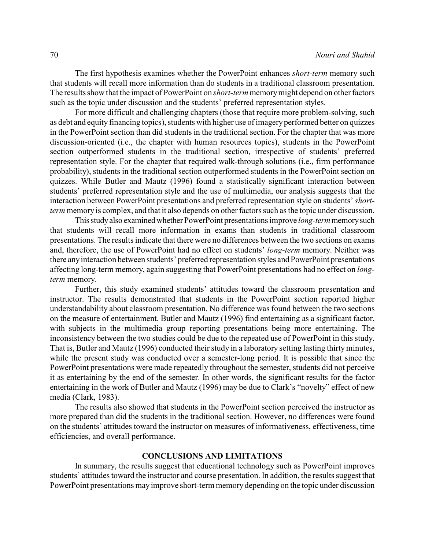The first hypothesis examines whether the PowerPoint enhances *short-term* memory such that students will recall more information than do students in a traditional classroom presentation. The results show that the impact of PowerPoint on *short-term* memory might depend on other factors such as the topic under discussion and the students' preferred representation styles.

For more difficult and challenging chapters (those that require more problem-solving, such as debt and equity financing topics), students with higher use of imagery performed better on quizzes in the PowerPoint section than did students in the traditional section. For the chapter that was more discussion-oriented (i.e., the chapter with human resources topics), students in the PowerPoint section outperformed students in the traditional section, irrespective of students' preferred representation style. For the chapter that required walk-through solutions (i.e., firm performance probability), students in the traditional section outperformed students in the PowerPoint section on quizzes. While Butler and Mautz (1996) found a statistically significant interaction between students' preferred representation style and the use of multimedia, our analysis suggests that the interaction between PowerPoint presentations and preferred representation style on students' *shortterm* memory is complex, and that it also depends on other factors such as the topic under discussion.

This study also examined whether PowerPoint presentations improve *long-term* memory such that students will recall more information in exams than students in traditional classroom presentations. The results indicate that there were no differences between the two sections on exams and, therefore, the use of PowerPoint had no effect on students' *long-term* memory. Neither was there any interaction between students' preferred representation styles and PowerPoint presentations affecting long-term memory, again suggesting that PowerPoint presentations had no effect on *longterm* memory.

Further, this study examined students' attitudes toward the classroom presentation and instructor. The results demonstrated that students in the PowerPoint section reported higher understandability about classroom presentation. No difference was found between the two sections on the measure of entertainment. Butler and Mautz (1996) find entertaining as a significant factor, with subjects in the multimedia group reporting presentations being more entertaining. The inconsistency between the two studies could be due to the repeated use of PowerPoint in this study. That is, Butler and Mautz (1996) conducted their study in a laboratory setting lasting thirty minutes, while the present study was conducted over a semester-long period. It is possible that since the PowerPoint presentations were made repeatedly throughout the semester, students did not perceive it as entertaining by the end of the semester. In other words, the significant results for the factor entertaining in the work of Butler and Mautz (1996) may be due to Clark's "novelty" effect of new media (Clark, 1983).

The results also showed that students in the PowerPoint section perceived the instructor as more prepared than did the students in the traditional section. However, no differences were found on the students' attitudes toward the instructor on measures of informativeness, effectiveness, time efficiencies, and overall performance.

## **CONCLUSIONS AND LIMITATIONS**

In summary, the results suggest that educational technology such as PowerPoint improves students' attitudes toward the instructor and course presentation. In addition, the results suggest that PowerPoint presentations mayimprove short-term memory depending on the topic under discussion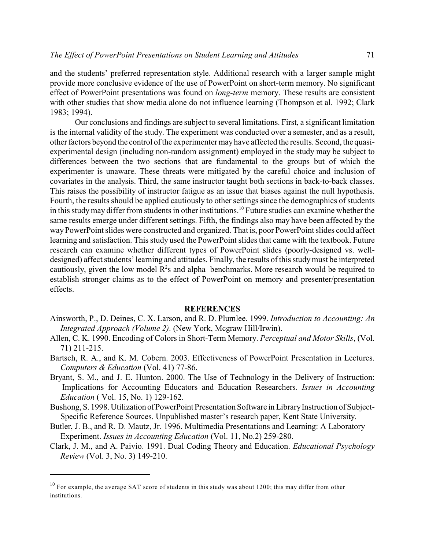and the students' preferred representation style. Additional research with a larger sample might provide more conclusive evidence of the use of PowerPoint on short-term memory. No significant effect of PowerPoint presentations was found on *long-term* memory. These results are consistent with other studies that show media alone do not influence learning (Thompson et al. 1992; Clark 1983; 1994).

Our conclusions and findings are subject to several limitations. First, a significant limitation is the internal validity of the study. The experiment was conducted over a semester, and as a result, other factors beyond the control of the experimenter may have affected the results. Second, the quasiexperimental design (including non-random assignment) employed in the study may be subject to differences between the two sections that are fundamental to the groups but of which the experimenter is unaware. These threats were mitigated by the careful choice and inclusion of covariates in the analysis. Third, the same instructor taught both sections in back-to-back classes. This raises the possibility of instructor fatigue as an issue that biases against the null hypothesis. Fourth, the results should be applied cautiously to other settings since the demographics of students in this study may differ from students in other institutions.<sup>10</sup> Future studies can examine whether the same results emerge under different settings. Fifth, the findings also may have been affected by the way PowerPoint slides were constructed and organized. That is, poor PowerPoint slides could affect learning and satisfaction. This study used the PowerPoint slides that came with the textbook. Future research can examine whether different types of PowerPoint slides (poorly-designed vs. welldesigned) affect students' learning and attitudes. Finally, the results of this studymust be interpreted cautiously, given the low model  $R<sup>2</sup>s$  and alpha benchmarks. More research would be required to establish stronger claims as to the effect of PowerPoint on memory and presenter/presentation effects.

## **REFERENCES**

- Ainsworth, P., D. Deines, C. X. Larson, and R. D. Plumlee. 1999. *Introduction to Accounting: An Integrated Approach (Volume 2)*. (New York, Mcgraw Hill/Irwin).
- Allen, C. K. 1990. Encoding of Colors in Short-Term Memory. *Perceptual and Motor Skills*, (Vol. 71) 211-215.
- Bartsch, R. A., and K. M. Cobern. 2003. Effectiveness of PowerPoint Presentation in Lectures. *Computers & Education* (Vol. 41) 77-86.
- Bryant, S. M., and J. E. Hunton. 2000. The Use of Technology in the Delivery of Instruction: Implications for Accounting Educators and Education Researchers. *Issues in Accounting Education* ( Vol. 15, No. 1) 129-162.
- Bushong, S. 1998. Utilization of PowerPoint Presentation Software in Library Instruction of Subject- Specific Reference Sources. Unpublished master's research paper, Kent State University.
- Butler, J. B., and R. D. Mautz, Jr. 1996. Multimedia Presentations and Learning: A Laboratory Experiment. *Issues in Accounting Education* (Vol. 11, No.2) 259-280.
- Clark, J. M., and A. Paivio. 1991. Dual Coding Theory and Education. *Educational Psychology Review* (Vol. 3, No. 3) 149-210.

 $10$  For example, the average SAT score of students in this study was about 1200; this may differ from other institutions.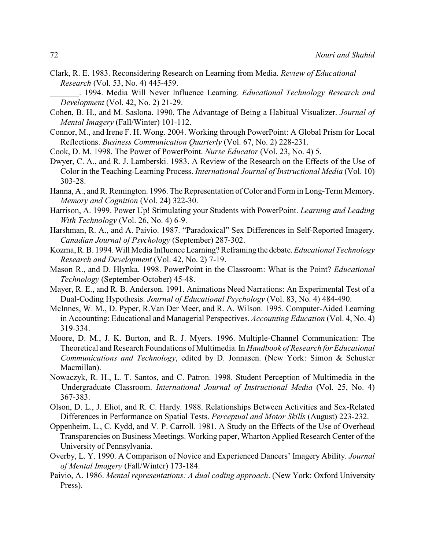- Clark, R. E. 1983. Reconsidering Research on Learning from Media. *Review of Educational Research* (Vol. 53, No. 4) 445-459.
- \_\_\_\_\_\_\_. 1994. Media Will Never Influence Learning. *Educational Technology Research and Development* (Vol. 42, No. 2) 21-29.
- Cohen, B. H., and M. Saslona. 1990. The Advantage of Being a Habitual Visualizer. *Journal of Mental Imagery* (Fall/Winter) 101-112.
- Connor, M., and Irene F. H. Wong. 2004. Working through PowerPoint: A Global Prism for Local Reflections. *Business Communication Quarterly* (Vol. 67, No. 2) 228-231.
- Cook, D. M. 1998. The Power of PowerPoint. *Nurse Educator* (Vol. 23, No. 4) 5.
- Dwyer, C. A., and R. J. Lamberski. 1983. A Review of the Research on the Effects of the Use of Color in the Teaching-Learning Process. *International Journal of Instructional Media* (Vol. 10) 303-28.
- Hanna, A., and R. Remington. 1996. The Representation of Color and Form in Long-Term Memory. *Memory and Cognition* (Vol. 24) 322-30.
- Harrison, A. 1999. Power Up! Stimulating your Students with PowerPoint. *Learning and Leading With Technology* (Vol. 26, No. 4) 6-9.
- Harshman, R. A., and A. Paivio. 1987. "Paradoxical" Sex Differences in Self-Reported Imagery. *Canadian Journal of Psychology* (September) 287-302.
- Kozma, R. B. 1994. Will Media Influence Learning? Reframing the debate. *Educational Technology Research and Development* (Vol. 42, No. 2) 7-19.
- Mason R., and D. Hlynka. 1998. PowerPoint in the Classroom: What is the Point? *Educational Technology* (September-October) 45-48.
- Mayer, R. E., and R. B. Anderson. 1991. Animations Need Narrations: An Experimental Test of a Dual-Coding Hypothesis. *Journal of Educational Psychology* (Vol. 83, No. 4) 484-490.
- McInnes, W. M., D. Pyper, R.Van Der Meer, and R. A. Wilson. 1995. Computer-Aided Learning in Accounting: Educational and Managerial Perspectives. *Accounting Education* (Vol. 4, No. 4) 319-334.
- Moore, D. M., J. K. Burton, and R. J. Myers. 1996. Multiple-Channel Communication: The Theoretical and Research Foundations of Multimedia. In *Handbook of Research for Educational Communications and Technology*, edited by D. Jonnasen. (New York: Simon & Schuster Macmillan).
- Nowaczyk, R. H., L. T. Santos, and C. Patron. 1998. Student Perception of Multimedia in the Undergraduate Classroom. *International Journal of Instructional Media* (Vol. 25, No. 4) 367-383.
- Olson, D. L., J. Eliot, and R. C. Hardy. 1988. Relationships Between Activities and Sex-Related Differences in Performance on Spatial Tests. *Perceptual and Motor Skills* (August) 223-232.
- Oppenheim, L., C. Kydd, and V. P. Carroll. 1981. A Study on the Effects of the Use of Overhead Transparencies on Business Meetings. Working paper, Wharton Applied Research Center of the University of Pennsylvania.
- Overby, L. Y. 1990. A Comparison of Novice and Experienced Dancers' Imagery Ability. *Journal of Mental Imagery* (Fall/Winter) 173-184.
- Paivio, A. 1986. *Mental representations: A dual coding approach*. (New York: Oxford University Press).